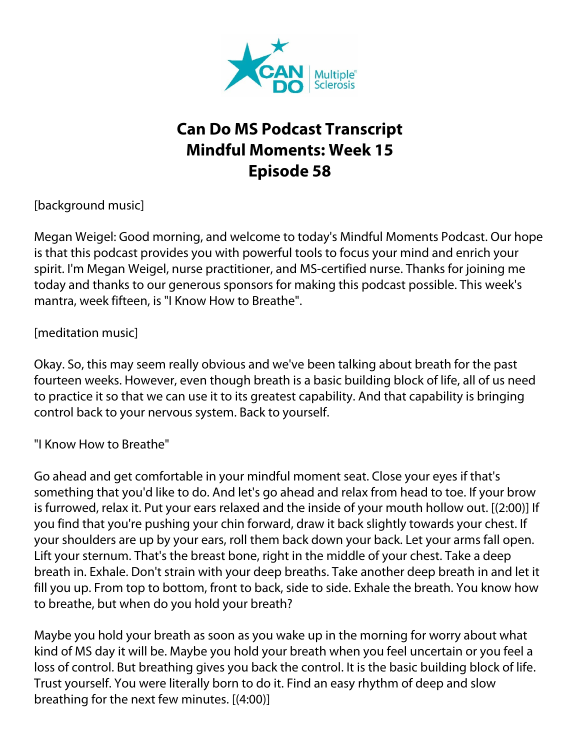

## **Can Do MS Podcast Transcript Mindful Moments: Week 15 Episode 58**

[background music]

Megan Weigel: Good morning, and welcome to today's Mindful Moments Podcast. Our hope is that this podcast provides you with powerful tools to focus your mind and enrich your spirit. I'm Megan Weigel, nurse practitioner, and MS-certified nurse. Thanks for joining me today and thanks to our generous sponsors for making this podcast possible. This week's mantra, week fifteen, is "I Know How to Breathe".

## [meditation music]

Okay. So, this may seem really obvious and we've been talking about breath for the past fourteen weeks. However, even though breath is a basic building block of life, all of us need to practice it so that we can use it to its greatest capability. And that capability is bringing control back to your nervous system. Back to yourself.

## "I Know How to Breathe"

Go ahead and get comfortable in your mindful moment seat. Close your eyes if that's something that you'd like to do. And let's go ahead and relax from head to toe. If your brow is furrowed, relax it. Put your ears relaxed and the inside of your mouth hollow out. [(2:00)] If you find that you're pushing your chin forward, draw it back slightly towards your chest. If your shoulders are up by your ears, roll them back down your back. Let your arms fall open. Lift your sternum. That's the breast bone, right in the middle of your chest. Take a deep breath in. Exhale. Don't strain with your deep breaths. Take another deep breath in and let it fill you up. From top to bottom, front to back, side to side. Exhale the breath. You know how to breathe, but when do you hold your breath?

Maybe you hold your breath as soon as you wake up in the morning for worry about what kind of MS day it will be. Maybe you hold your breath when you feel uncertain or you feel a loss of control. But breathing gives you back the control. It is the basic building block of life. Trust yourself. You were literally born to do it. Find an easy rhythm of deep and slow breathing for the next few minutes. [(4:00)]